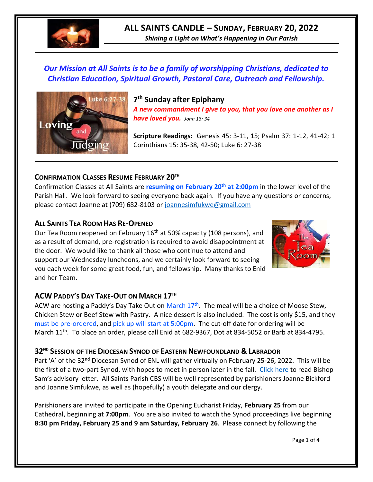

# **ALL SAINTS CANDLE – SUNDAY, FEBRUARY 20, 2022**

*Shining a Light on What's Happening in Our Parish*

## *Our Mission at All Saints is to be a family of worshipping Christians, dedicated to Christian Education, Spiritual Growth, Pastoral Care, Outreach and Fellowship.*



**7 th Sunday after Epiphany** *A new commandment I give to you, that you love one another as I have loved you. John 13: 34*

**Scripture Readings:** Genesis 45: 3-11, 15; Psalm 37: 1-12, 41-42; 1 Corinthians 15: 35-38, 42-50; Luke 6: 27-38

### **CONFIRMATION CLASSES RESUME FEBRUARY 20TH**

Confirmation Classes at All Saints are **resuming on February 20th at 2:00pm** in the lower level of the Parish Hall. We look forward to seeing everyone back again. If you have any questions or concerns, please contact Joanne at (709) 682-8103 or [joannesimfukwe@gmail.com](mailto:joannesimfukwe@gmail.com)

### **ALL SAINTS TEA ROOM HAS RE-OPENED**

Our Tea Room reopened on February 16<sup>th</sup> at 50% capacity (108 persons), and as a result of demand, pre-registration is required to avoid disappointment at the door. We would like to thank all those who continue to attend and support our Wednesday luncheons, and we certainly look forward to seeing you each week for some great food, fun, and fellowship. Many thanks to Enid and her Team.



### **ACW PADDY'S DAY TAKE-OUT ON MARCH 17TH**

ACW are hosting a Paddy's Day Take Out on March 17<sup>th</sup>. The meal will be a choice of Moose Stew, Chicken Stew or Beef Stew with Pastry. A nice dessert is also included. The cost is only \$15, and they must be pre-ordered, and pick up will start at 5:00pm. The cut-off date for ordering will be March 11<sup>th</sup>. To place an order, please call Enid at 682-9367, Dot at 834-5052 or Barb at 834-4795.

### **32ND SESSION OF THE DIOCESAN SYNOD OF EASTERN NEWFOUNDLAND & LABRADOR**

Part 'A' of the 32<sup>nd</sup> Diocesan Synod of ENL will gather virtually on February 25-26, 2022. This will be the first of a two-part Synod, with hopes to meet in person later in the fall. [Click here](https://www.facebook.com/AnglicanEastNL/photos/pcb.5565092873509066/5565092763509077) to read Bishop Sam's advisory letter. All Saints Parish CBS will be well represented by parishioners Joanne Bickford and Joanne Simfukwe, as well as (hopefully) a youth delegate and our clergy.

Parishioners are invited to participate in the Opening Eucharist Friday, **February 25** from our Cathedral, beginning at **7:00pm**. You are also invited to watch the Synod proceedings live beginning **8:30 pm Friday, February 25 and 9 am Saturday, February 26**. Please connect by following the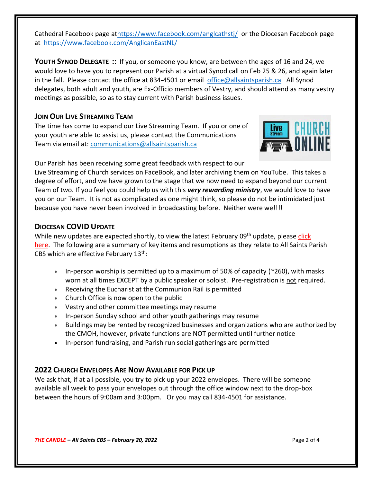Cathedral Facebook page a[thttps://www.facebook.com/anglcathstj/](https://www.facebook.com/anglcathstj/) or the Diocesan Facebook page at <https://www.facebook.com/AnglicanEastNL/>

**YOUTH SYNOD DELEGATE ::** If you, or someone you know, are between the ages of 16 and 24, we would love to have you to represent our Parish at a virtual Synod call on Feb 25 & 26, and again later in the fall. Please contact the office at 834-4501 or email [office@allsaintsparish.ca](mailto:office@allsaintsparish.ca) All Synod delegates, both adult and youth, are Ex-Officio members of Vestry, and should attend as many vestry meetings as possible, so as to stay current with Parish business issues.

### **JOIN OUR LIVE STREAMING TEAM**

The time has come to expand our Live Streaming Team. If you or one of your youth are able to assist us, please contact the Communications Team via email at: [communications@allsaintsparish.ca](mailto:communications@allsaintsparish.ca?subject=Live%20Streaming%20Team)



Our Parish has been receiving some great feedback with respect to our

Live Streaming of Church services on FaceBook, and later archiving them on YouTube. This takes a degree of effort, and we have grown to the stage that we now need to expand beyond our current Team of two. If you feel you could help us with this *very rewarding ministry*, we would love to have you on our Team. It is not as complicated as one might think, so please do not be intimidated just because you have never been involved in broadcasting before. Neither were we!!!!

### **DIOCESAN COVID UPDATE**

While new updates are expected shortly, to view the latest February 09<sup>th</sup> update, please click [here.](https://anglicanenl.net/home/wp-content/uploads/2022/02/Guidelines-13-February-2022.pdf) The following are a summary of key items and resumptions as they relate to All Saints Parish CBS which are effective February 13<sup>th</sup>:

- In-person worship is permitted up to a maximum of 50% of capacity ( $\approx$ 260), with masks worn at all times EXCEPT by a public speaker or soloist. Pre-registration is not required.
- Receiving the Eucharist at the Communion Rail is permitted
- Church Office is now open to the public
- Vestry and other committee meetings may resume
- In-person Sunday school and other youth gatherings may resume
- Buildings may be rented by recognized businesses and organizations who are authorized by the CMOH, however, private functions are NOT permitted until further notice
- In-person fundraising, and Parish run social gatherings are permitted

### **2022 CHURCH ENVELOPES ARE NOW AVAILABLE FOR PICK UP**

We ask that, if at all possible, you try to pick up your 2022 envelopes. There will be someone available all week to pass your envelopes out through the office window next to the drop-box between the hours of 9:00am and 3:00pm. Or you may call 834-4501 for assistance.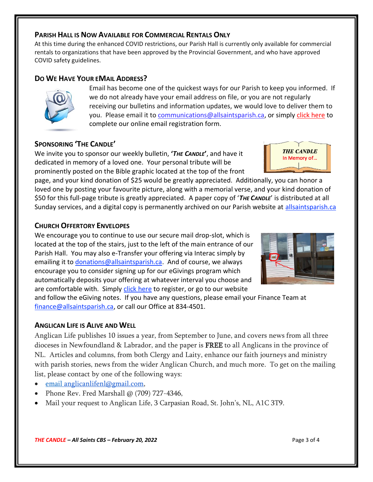#### *THE CANDLE – All Saints CBS – February 20, 2022* Page 3 of 4

#### **PARISH HALL IS NOW AVAILABLE FOR COMMERCIAL RENTALS ONLY**

At this time during the enhanced COVID restrictions, our Parish Hall is currently only available for commercial rentals to organizations that have been approved by the Provincial Government, and who have approved COVID safety guidelines.

#### **DO WE HAVE YOUR EMAIL ADDRESS?**

Email has become one of the quickest ways for our Parish to keep you informed. If we do not already have your email address on file, or you are not regularly receiving our bulletins and information updates, we would love to deliver them to you. Please email it to [communications@allsaintsparish.ca,](mailto:communications@allsaintsparish.ca?subject=eMail%20Address%20Update) or simply [click here](http://allsaintsparish.ca/email_updates) to complete our online email registration form.

#### **SPONSORING 'THE CANDLE'**

We invite you to sponsor our weekly bulletin, **'***THE CANDLE***'**, and have it dedicated in memory of a loved one. Your personal tribute will be prominently posted on the Bible graphic located at the top of the front

page, and your kind donation of \$25 would be greatly appreciated. Additionally, you can honor a loved one by posting your favourite picture, along with a memorial verse, and your kind donation of \$50 for this full-page tribute is greatly appreciated. A paper copy of '*THE CANDLE*' is distributed at all Sunday services, and a digital copy is permanently archived on our Parish website at [allsaintsparish.ca](http://allsaintsparish.ca/thecandle.html)

#### **CHURCH OFFERTORY ENVELOPES**

We encourage you to continue to use our secure mail drop-slot, which is located at the top of the stairs, just to the left of the main entrance of our Parish Hall. You may also e-Transfer your offering via Interac simply by emailing it to [donations@allsaintsparish.ca.](mailto:donations@allsaintsparish.ca) And of course, we always encourage you to consider signing up for our eGivings program which automatically deposits your offering at whatever interval you choose and are comfortable with. Simply [click here](http://allsaintsparish.ca/egiving-online-information-form) to register, or go to our website

and follow the eGiving notes. If you have [any](https://wfsites-to.websitecreatorprotool.com/870a5dd5.com/Admin/%7BSK_NODEID__22939341__SK%7D) questions, please email your Finance Team at [finance@allsaintsparish.ca,](mailto:finance@allsaintsparish.ca) or call our Office at 834-4501.

#### **ANGLICAN LIFE IS ALIVE AND WELL**

Anglican Life publishes 10 issues a year, from September to June, and covers news from all three dioceses in Newfoundland & Labrador, and the paper is **FREE** to all Anglicans in the province of NL. Articles and columns, from both Clergy and Laity, enhance our faith journeys and ministry with parish stories, news from the wider Anglican Church, and much more. To get on the mailing list, please contact by one of the following ways:

- email [anglicanlifenl@gmail.com,](mailto:anglicanlifenl@gmail.com)
- Phone Rev. Fred Marshall @ (709) 727-4346,
- Mail your request to Anglican Life, 3 Carpasian Road, St. John's, NL, A1C 3T9.



**THE CANDLE** In Memory of...